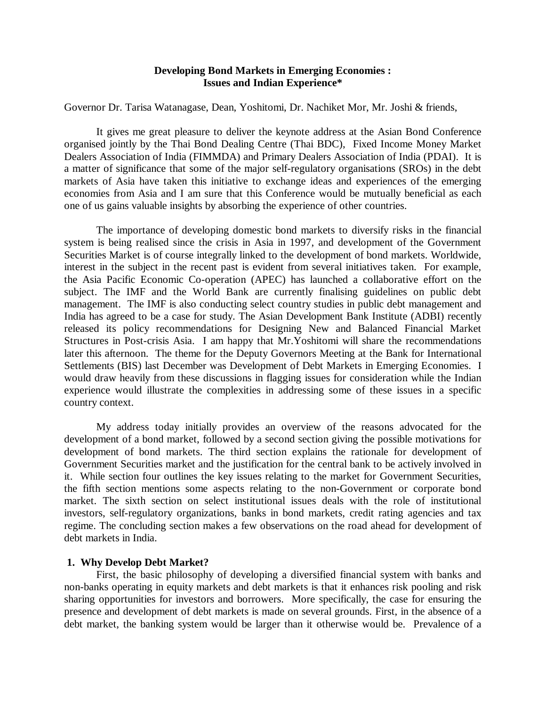# **Developing Bond Markets in Emerging Economies : Issues and Indian Experience\***

Governor Dr. Tarisa Watanagase, Dean, Yoshitomi, Dr. Nachiket Mor, Mr. Joshi & friends,

It gives me great pleasure to deliver the keynote address at the Asian Bond Conference organised jointly by the Thai Bond Dealing Centre (Thai BDC), Fixed Income Money Market Dealers Association of India (FIMMDA) and Primary Dealers Association of India (PDAI). It is a matter of significance that some of the major self-regulatory organisations (SROs) in the debt markets of Asia have taken this initiative to exchange ideas and experiences of the emerging economies from Asia and I am sure that this Conference would be mutually beneficial as each one of us gains valuable insights by absorbing the experience of other countries.

The importance of developing domestic bond markets to diversify risks in the financial system is being realised since the crisis in Asia in 1997, and development of the Government Securities Market is of course integrally linked to the development of bond markets. Worldwide, interest in the subject in the recent past is evident from several initiatives taken. For example, the Asia Pacific Economic Co-operation (APEC) has launched a collaborative effort on the subject. The IMF and the World Bank are currently finalising guidelines on public debt management. The IMF is also conducting select country studies in public debt management and India has agreed to be a case for study. The Asian Development Bank Institute (ADBI) recently released its policy recommendations for Designing New and Balanced Financial Market Structures in Post-crisis Asia. I am happy that Mr.Yoshitomi will share the recommendations later this afternoon. The theme for the Deputy Governors Meeting at the Bank for International Settlements (BIS) last December was Development of Debt Markets in Emerging Economies. I would draw heavily from these discussions in flagging issues for consideration while the Indian experience would illustrate the complexities in addressing some of these issues in a specific country context.

My address today initially provides an overview of the reasons advocated for the development of a bond market, followed by a second section giving the possible motivations for development of bond markets. The third section explains the rationale for development of Government Securities market and the justification for the central bank to be actively involved in it. While section four outlines the key issues relating to the market for Government Securities, the fifth section mentions some aspects relating to the non-Government or corporate bond market. The sixth section on select institutional issues deals with the role of institutional investors, self-regulatory organizations, banks in bond markets, credit rating agencies and tax regime. The concluding section makes a few observations on the road ahead for development of debt markets in India.

## **1. Why Develop Debt Market?**

First, the basic philosophy of developing a diversified financial system with banks and non-banks operating in equity markets and debt markets is that it enhances risk pooling and risk sharing opportunities for investors and borrowers. More specifically, the case for ensuring the presence and development of debt markets is made on several grounds. First, in the absence of a debt market, the banking system would be larger than it otherwise would be. Prevalence of a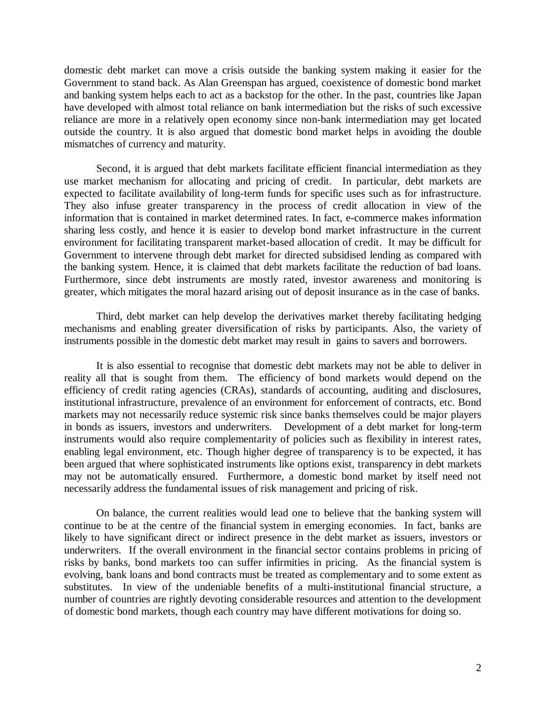domestic debt market can move a crisis outside the banking system making it easier for the Government to stand back. As Alan Greenspan has argued, coexistence of domestic bond market and banking system helps each to act as a backstop for the other. In the past, countries like Japan have developed with almost total reliance on bank intermediation but the risks of such excessive reliance are more in a relatively open economy since non-bank intermediation may get located outside the country. It is also argued that domestic bond market helps in avoiding the double mismatches of currency and maturity.

Second, it is argued that debt markets facilitate efficient financial intermediation as they use market mechanism for allocating and pricing of credit. In particular, debt markets are expected to facilitate availability of long-term funds for specific uses such as for infrastructure. They also infuse greater transparency in the process of credit allocation in view of the information that is contained in market determined rates. In fact, e-commerce makes information sharing less costly, and hence it is easier to develop bond market infrastructure in the current environment for facilitating transparent market-based allocation of credit. It may be difficult for Government to intervene through debt market for directed subsidised lending as compared with the banking system. Hence, it is claimed that debt markets facilitate the reduction of bad loans. Furthermore, since debt instruments are mostly rated, investor awareness and monitoring is greater, which mitigates the moral hazard arising out of deposit insurance as in the case of banks.

Third, debt market can help develop the derivatives market thereby facilitating hedging mechanisms and enabling greater diversification of risks by participants. Also, the variety of instruments possible in the domestic debt market may result in gains to savers and borrowers.

It is also essential to recognise that domestic debt markets may not be able to deliver in reality all that is sought from them. The efficiency of bond markets would depend on the efficiency of credit rating agencies (CRAs), standards of accounting, auditing and disclosures, institutional infrastructure, prevalence of an environment for enforcement of contracts, etc. Bond markets may not necessarily reduce systemic risk since banks themselves could be major players in bonds as issuers, investors and underwriters. Development of a debt market for long-term instruments would also require complementarity of policies such as flexibility in interest rates, enabling legal environment, etc. Though higher degree of transparency is to be expected, it has been argued that where sophisticated instruments like options exist, transparency in debt markets may not be automatically ensured. Furthermore, a domestic bond market by itself need not necessarily address the fundamental issues of risk management and pricing of risk.

On balance, the current realities would lead one to believe that the banking system will continue to be at the centre of the financial system in emerging economies. In fact, banks are likely to have significant direct or indirect presence in the debt market as issuers, investors or underwriters. If the overall environment in the financial sector contains problems in pricing of risks by banks, bond markets too can suffer infirmities in pricing. As the financial system is evolving, bank loans and bond contracts must be treated as complementary and to some extent as substitutes. In view of the undeniable benefits of a multi-institutional financial structure, a number of countries are rightly devoting considerable resources and attention to the development of domestic bond markets, though each country may have different motivations for doing so.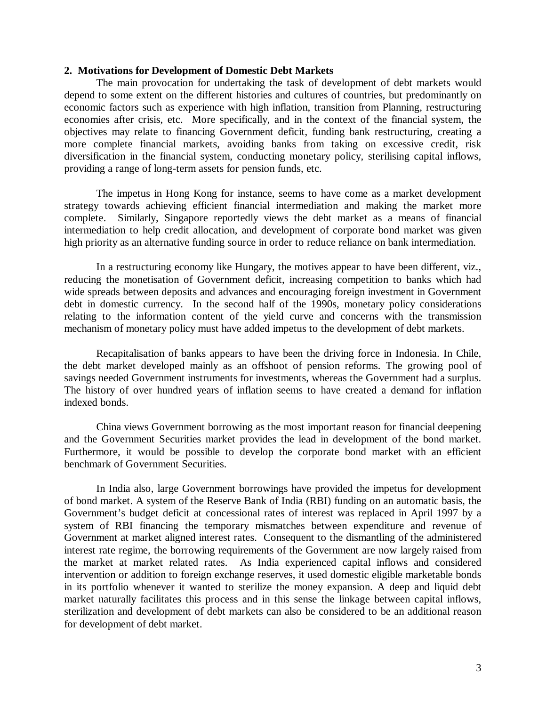#### **2. Motivations for Development of Domestic Debt Markets**

The main provocation for undertaking the task of development of debt markets would depend to some extent on the different histories and cultures of countries, but predominantly on economic factors such as experience with high inflation, transition from Planning, restructuring economies after crisis, etc. More specifically, and in the context of the financial system, the objectives may relate to financing Government deficit, funding bank restructuring, creating a more complete financial markets, avoiding banks from taking on excessive credit, risk diversification in the financial system, conducting monetary policy, sterilising capital inflows, providing a range of long-term assets for pension funds, etc.

The impetus in Hong Kong for instance, seems to have come as a market development strategy towards achieving efficient financial intermediation and making the market more complete. Similarly, Singapore reportedly views the debt market as a means of financial intermediation to help credit allocation, and development of corporate bond market was given high priority as an alternative funding source in order to reduce reliance on bank intermediation.

In a restructuring economy like Hungary, the motives appear to have been different, viz., reducing the monetisation of Government deficit, increasing competition to banks which had wide spreads between deposits and advances and encouraging foreign investment in Government debt in domestic currency. In the second half of the 1990s, monetary policy considerations relating to the information content of the yield curve and concerns with the transmission mechanism of monetary policy must have added impetus to the development of debt markets.

Recapitalisation of banks appears to have been the driving force in Indonesia. In Chile, the debt market developed mainly as an offshoot of pension reforms. The growing pool of savings needed Government instruments for investments, whereas the Government had a surplus. The history of over hundred years of inflation seems to have created a demand for inflation indexed bonds.

China views Government borrowing as the most important reason for financial deepening and the Government Securities market provides the lead in development of the bond market. Furthermore, it would be possible to develop the corporate bond market with an efficient benchmark of Government Securities.

In India also, large Government borrowings have provided the impetus for development of bond market. A system of the Reserve Bank of India (RBI) funding on an automatic basis, the Government's budget deficit at concessional rates of interest was replaced in April 1997 by a system of RBI financing the temporary mismatches between expenditure and revenue of Government at market aligned interest rates. Consequent to the dismantling of the administered interest rate regime, the borrowing requirements of the Government are now largely raised from the market at market related rates. As India experienced capital inflows and considered intervention or addition to foreign exchange reserves, it used domestic eligible marketable bonds in its portfolio whenever it wanted to sterilize the money expansion. A deep and liquid debt market naturally facilitates this process and in this sense the linkage between capital inflows, sterilization and development of debt markets can also be considered to be an additional reason for development of debt market.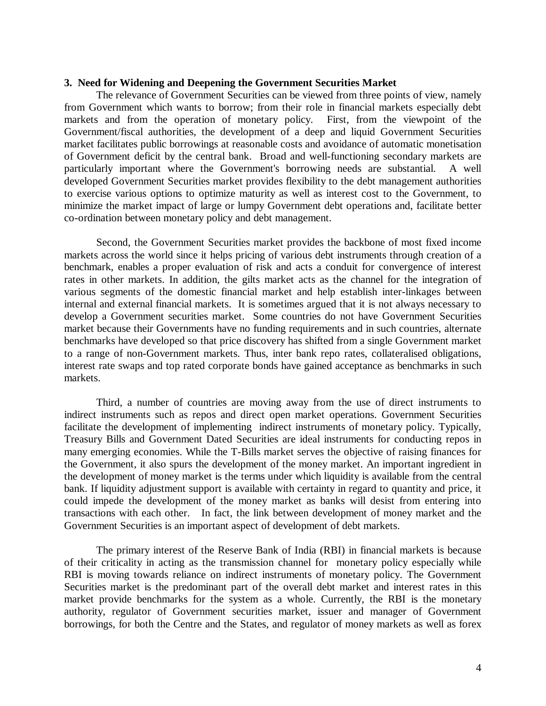### **3. Need for Widening and Deepening the Government Securities Market**

The relevance of Government Securities can be viewed from three points of view, namely from Government which wants to borrow; from their role in financial markets especially debt markets and from the operation of monetary policy. First, from the viewpoint of the Government/fiscal authorities, the development of a deep and liquid Government Securities market facilitates public borrowings at reasonable costs and avoidance of automatic monetisation of Government deficit by the central bank. Broad and well-functioning secondary markets are particularly important where the Government's borrowing needs are substantial. A well developed Government Securities market provides flexibility to the debt management authorities to exercise various options to optimize maturity as well as interest cost to the Government, to minimize the market impact of large or lumpy Government debt operations and, facilitate better co-ordination between monetary policy and debt management.

Second, the Government Securities market provides the backbone of most fixed income markets across the world since it helps pricing of various debt instruments through creation of a benchmark, enables a proper evaluation of risk and acts a conduit for convergence of interest rates in other markets. In addition, the gilts market acts as the channel for the integration of various segments of the domestic financial market and help establish inter-linkages between internal and external financial markets. It is sometimes argued that it is not always necessary to develop a Government securities market. Some countries do not have Government Securities market because their Governments have no funding requirements and in such countries, alternate benchmarks have developed so that price discovery has shifted from a single Government market to a range of non-Government markets. Thus, inter bank repo rates, collateralised obligations, interest rate swaps and top rated corporate bonds have gained acceptance as benchmarks in such markets.

Third, a number of countries are moving away from the use of direct instruments to indirect instruments such as repos and direct open market operations. Government Securities facilitate the development of implementing indirect instruments of monetary policy. Typically, Treasury Bills and Government Dated Securities are ideal instruments for conducting repos in many emerging economies. While the T-Bills market serves the objective of raising finances for the Government, it also spurs the development of the money market. An important ingredient in the development of money market is the terms under which liquidity is available from the central bank. If liquidity adjustment support is available with certainty in regard to quantity and price, it could impede the development of the money market as banks will desist from entering into transactions with each other. In fact, the link between development of money market and the Government Securities is an important aspect of development of debt markets.

The primary interest of the Reserve Bank of India (RBI) in financial markets is because of their criticality in acting as the transmission channel for monetary policy especially while RBI is moving towards reliance on indirect instruments of monetary policy. The Government Securities market is the predominant part of the overall debt market and interest rates in this market provide benchmarks for the system as a whole. Currently, the RBI is the monetary authority, regulator of Government securities market, issuer and manager of Government borrowings, for both the Centre and the States, and regulator of money markets as well as forex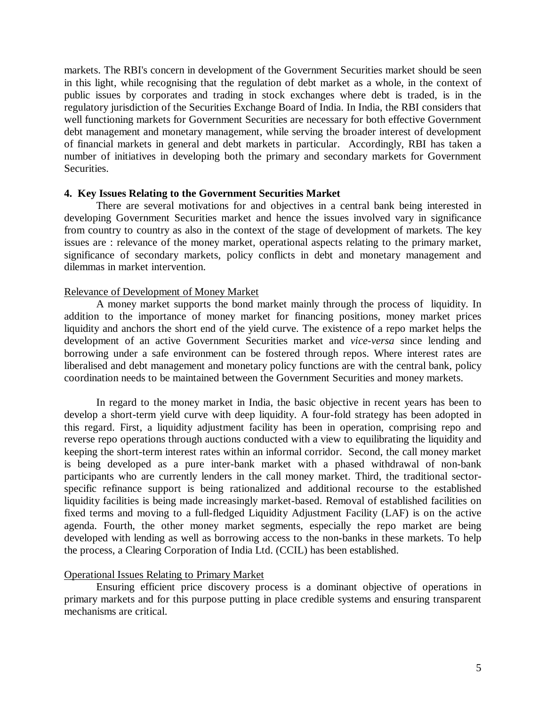markets. The RBI's concern in development of the Government Securities market should be seen in this light, while recognising that the regulation of debt market as a whole, in the context of public issues by corporates and trading in stock exchanges where debt is traded, is in the regulatory jurisdiction of the Securities Exchange Board of India. In India, the RBI considers that well functioning markets for Government Securities are necessary for both effective Government debt management and monetary management, while serving the broader interest of development of financial markets in general and debt markets in particular. Accordingly, RBI has taken a number of initiatives in developing both the primary and secondary markets for Government Securities.

## **4. Key Issues Relating to the Government Securities Market**

There are several motivations for and objectives in a central bank being interested in developing Government Securities market and hence the issues involved vary in significance from country to country as also in the context of the stage of development of markets. The key issues are : relevance of the money market, operational aspects relating to the primary market, significance of secondary markets, policy conflicts in debt and monetary management and dilemmas in market intervention.

# Relevance of Development of Money Market

A money market supports the bond market mainly through the process of liquidity. In addition to the importance of money market for financing positions, money market prices liquidity and anchors the short end of the yield curve. The existence of a repo market helps the development of an active Government Securities market and *vice-versa* since lending and borrowing under a safe environment can be fostered through repos. Where interest rates are liberalised and debt management and monetary policy functions are with the central bank, policy coordination needs to be maintained between the Government Securities and money markets.

In regard to the money market in India, the basic objective in recent years has been to develop a short-term yield curve with deep liquidity. A four-fold strategy has been adopted in this regard. First, a liquidity adjustment facility has been in operation, comprising repo and reverse repo operations through auctions conducted with a view to equilibrating the liquidity and keeping the short-term interest rates within an informal corridor. Second, the call money market is being developed as a pure inter-bank market with a phased withdrawal of non-bank participants who are currently lenders in the call money market. Third, the traditional sectorspecific refinance support is being rationalized and additional recourse to the established liquidity facilities is being made increasingly market-based. Removal of established facilities on fixed terms and moving to a full-fledged Liquidity Adjustment Facility (LAF) is on the active agenda. Fourth, the other money market segments, especially the repo market are being developed with lending as well as borrowing access to the non-banks in these markets. To help the process, a Clearing Corporation of India Ltd. (CCIL) has been established.

# Operational Issues Relating to Primary Market

Ensuring efficient price discovery process is a dominant objective of operations in primary markets and for this purpose putting in place credible systems and ensuring transparent mechanisms are critical.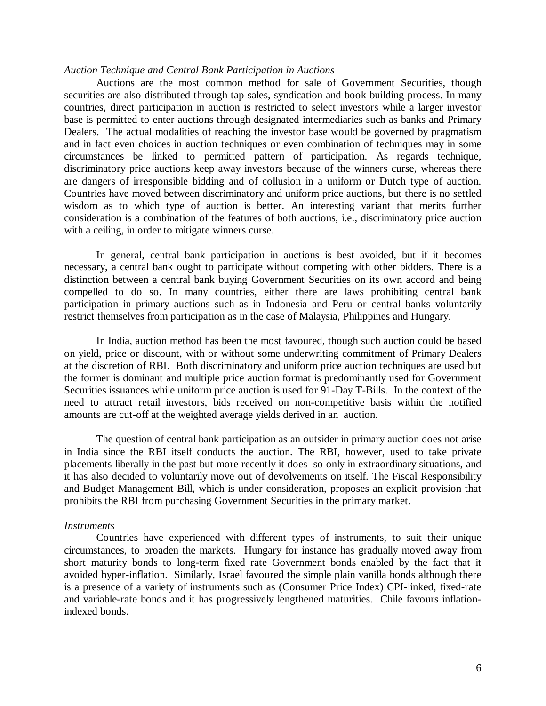#### *Auction Technique and Central Bank Participation in Auctions*

Auctions are the most common method for sale of Government Securities, though securities are also distributed through tap sales, syndication and book building process. In many countries, direct participation in auction is restricted to select investors while a larger investor base is permitted to enter auctions through designated intermediaries such as banks and Primary Dealers. The actual modalities of reaching the investor base would be governed by pragmatism and in fact even choices in auction techniques or even combination of techniques may in some circumstances be linked to permitted pattern of participation. As regards technique, discriminatory price auctions keep away investors because of the winners curse, whereas there are dangers of irresponsible bidding and of collusion in a uniform or Dutch type of auction. Countries have moved between discriminatory and uniform price auctions, but there is no settled wisdom as to which type of auction is better. An interesting variant that merits further consideration is a combination of the features of both auctions, i.e., discriminatory price auction with a ceiling, in order to mitigate winners curse.

In general, central bank participation in auctions is best avoided, but if it becomes necessary, a central bank ought to participate without competing with other bidders. There is a distinction between a central bank buying Government Securities on its own accord and being compelled to do so. In many countries, either there are laws prohibiting central bank participation in primary auctions such as in Indonesia and Peru or central banks voluntarily restrict themselves from participation as in the case of Malaysia, Philippines and Hungary.

In India, auction method has been the most favoured, though such auction could be based on yield, price or discount, with or without some underwriting commitment of Primary Dealers at the discretion of RBI. Both discriminatory and uniform price auction techniques are used but the former is dominant and multiple price auction format is predominantly used for Government Securities issuances while uniform price auction is used for 91-Day T-Bills. In the context of the need to attract retail investors, bids received on non-competitive basis within the notified amounts are cut-off at the weighted average yields derived in an auction.

The question of central bank participation as an outsider in primary auction does not arise in India since the RBI itself conducts the auction. The RBI, however, used to take private placements liberally in the past but more recently it does so only in extraordinary situations, and it has also decided to voluntarily move out of devolvements on itself. The Fiscal Responsibility and Budget Management Bill, which is under consideration, proposes an explicit provision that prohibits the RBI from purchasing Government Securities in the primary market.

#### *Instruments*

Countries have experienced with different types of instruments, to suit their unique circumstances, to broaden the markets. Hungary for instance has gradually moved away from short maturity bonds to long-term fixed rate Government bonds enabled by the fact that it avoided hyper-inflation. Similarly, Israel favoured the simple plain vanilla bonds although there is a presence of a variety of instruments such as (Consumer Price Index) CPI-linked, fixed-rate and variable-rate bonds and it has progressively lengthened maturities. Chile favours inflationindexed bonds.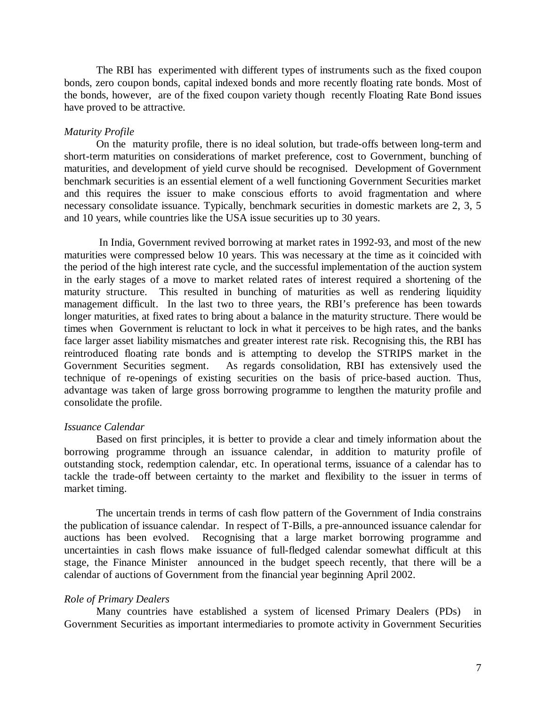The RBI has experimented with different types of instruments such as the fixed coupon bonds, zero coupon bonds, capital indexed bonds and more recently floating rate bonds. Most of the bonds, however, are of the fixed coupon variety though recently Floating Rate Bond issues have proved to be attractive.

### *Maturity Profile*

On the maturity profile, there is no ideal solution, but trade-offs between long-term and short-term maturities on considerations of market preference, cost to Government, bunching of maturities, and development of yield curve should be recognised. Development of Government benchmark securities is an essential element of a well functioning Government Securities market and this requires the issuer to make conscious efforts to avoid fragmentation and where necessary consolidate issuance. Typically, benchmark securities in domestic markets are 2, 3, 5 and 10 years, while countries like the USA issue securities up to 30 years.

 In India, Government revived borrowing at market rates in 1992-93, and most of the new maturities were compressed below 10 years. This was necessary at the time as it coincided with the period of the high interest rate cycle, and the successful implementation of the auction system in the early stages of a move to market related rates of interest required a shortening of the maturity structure. This resulted in bunching of maturities as well as rendering liquidity management difficult. In the last two to three years, the RBI's preference has been towards longer maturities, at fixed rates to bring about a balance in the maturity structure. There would be times when Government is reluctant to lock in what it perceives to be high rates, and the banks face larger asset liability mismatches and greater interest rate risk. Recognising this, the RBI has reintroduced floating rate bonds and is attempting to develop the STRIPS market in the Government Securities segment. As regards consolidation, RBI has extensively used the technique of re-openings of existing securities on the basis of price-based auction. Thus, advantage was taken of large gross borrowing programme to lengthen the maturity profile and consolidate the profile.

### *Issuance Calendar*

Based on first principles, it is better to provide a clear and timely information about the borrowing programme through an issuance calendar, in addition to maturity profile of outstanding stock, redemption calendar, etc. In operational terms, issuance of a calendar has to tackle the trade-off between certainty to the market and flexibility to the issuer in terms of market timing.

The uncertain trends in terms of cash flow pattern of the Government of India constrains the publication of issuance calendar. In respect of T-Bills, a pre-announced issuance calendar for auctions has been evolved. Recognising that a large market borrowing programme and uncertainties in cash flows make issuance of full-fledged calendar somewhat difficult at this stage, the Finance Minister announced in the budget speech recently, that there will be a calendar of auctions of Government from the financial year beginning April 2002.

## *Role of Primary Dealers*

Many countries have established a system of licensed Primary Dealers (PDs) in Government Securities as important intermediaries to promote activity in Government Securities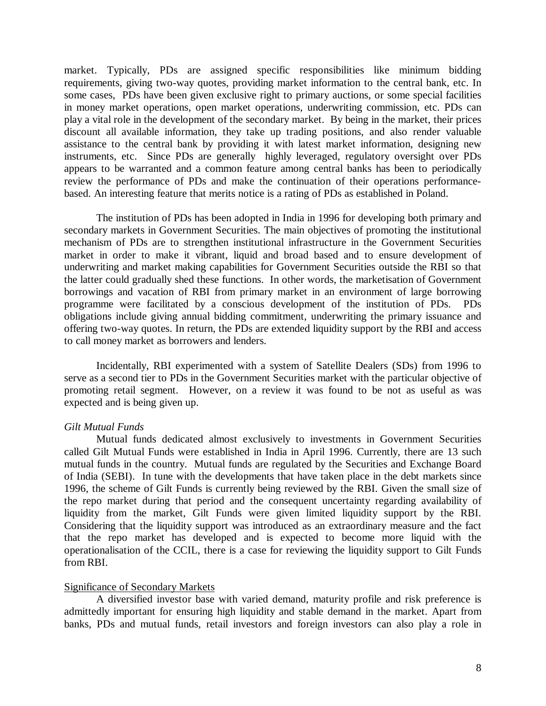market. Typically, PDs are assigned specific responsibilities like minimum bidding requirements, giving two-way quotes, providing market information to the central bank, etc. In some cases, PDs have been given exclusive right to primary auctions, or some special facilities in money market operations, open market operations, underwriting commission, etc. PDs can play a vital role in the development of the secondary market. By being in the market, their prices discount all available information, they take up trading positions, and also render valuable assistance to the central bank by providing it with latest market information, designing new instruments, etc. Since PDs are generally highly leveraged, regulatory oversight over PDs appears to be warranted and a common feature among central banks has been to periodically review the performance of PDs and make the continuation of their operations performancebased. An interesting feature that merits notice is a rating of PDs as established in Poland.

The institution of PDs has been adopted in India in 1996 for developing both primary and secondary markets in Government Securities. The main objectives of promoting the institutional mechanism of PDs are to strengthen institutional infrastructure in the Government Securities market in order to make it vibrant, liquid and broad based and to ensure development of underwriting and market making capabilities for Government Securities outside the RBI so that the latter could gradually shed these functions. In other words, the marketisation of Government borrowings and vacation of RBI from primary market in an environment of large borrowing programme were facilitated by a conscious development of the institution of PDs. PDs obligations include giving annual bidding commitment, underwriting the primary issuance and offering two-way quotes. In return, the PDs are extended liquidity support by the RBI and access to call money market as borrowers and lenders.

Incidentally, RBI experimented with a system of Satellite Dealers (SDs) from 1996 to serve as a second tier to PDs in the Government Securities market with the particular objective of promoting retail segment. However, on a review it was found to be not as useful as was expected and is being given up.

## *Gilt Mutual Funds*

Mutual funds dedicated almost exclusively to investments in Government Securities called Gilt Mutual Funds were established in India in April 1996. Currently, there are 13 such mutual funds in the country. Mutual funds are regulated by the Securities and Exchange Board of India (SEBI). In tune with the developments that have taken place in the debt markets since 1996, the scheme of Gilt Funds is currently being reviewed by the RBI. Given the small size of the repo market during that period and the consequent uncertainty regarding availability of liquidity from the market, Gilt Funds were given limited liquidity support by the RBI. Considering that the liquidity support was introduced as an extraordinary measure and the fact that the repo market has developed and is expected to become more liquid with the operationalisation of the CCIL, there is a case for reviewing the liquidity support to Gilt Funds from RBI.

#### Significance of Secondary Markets

A diversified investor base with varied demand, maturity profile and risk preference is admittedly important for ensuring high liquidity and stable demand in the market. Apart from banks, PDs and mutual funds, retail investors and foreign investors can also play a role in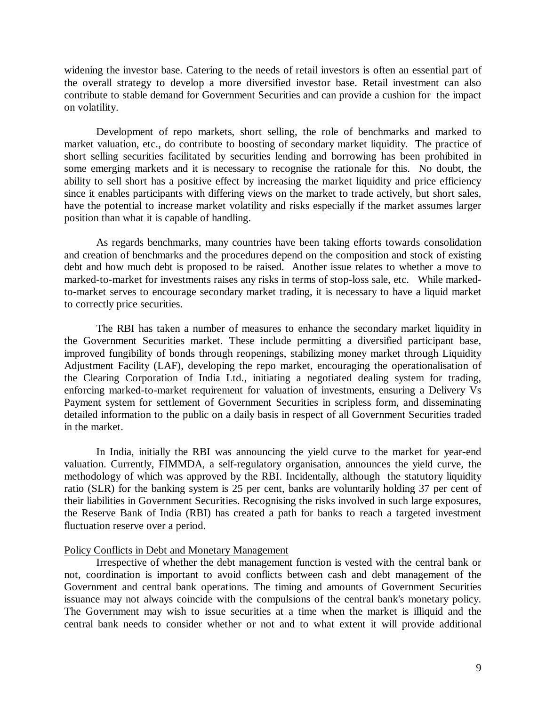widening the investor base. Catering to the needs of retail investors is often an essential part of the overall strategy to develop a more diversified investor base. Retail investment can also contribute to stable demand for Government Securities and can provide a cushion for the impact on volatility.

Development of repo markets, short selling, the role of benchmarks and marked to market valuation, etc., do contribute to boosting of secondary market liquidity. The practice of short selling securities facilitated by securities lending and borrowing has been prohibited in some emerging markets and it is necessary to recognise the rationale for this. No doubt, the ability to sell short has a positive effect by increasing the market liquidity and price efficiency since it enables participants with differing views on the market to trade actively, but short sales, have the potential to increase market volatility and risks especially if the market assumes larger position than what it is capable of handling.

As regards benchmarks, many countries have been taking efforts towards consolidation and creation of benchmarks and the procedures depend on the composition and stock of existing debt and how much debt is proposed to be raised. Another issue relates to whether a move to marked-to-market for investments raises any risks in terms of stop-loss sale, etc. While markedto-market serves to encourage secondary market trading, it is necessary to have a liquid market to correctly price securities.

The RBI has taken a number of measures to enhance the secondary market liquidity in the Government Securities market. These include permitting a diversified participant base, improved fungibility of bonds through reopenings, stabilizing money market through Liquidity Adjustment Facility (LAF), developing the repo market, encouraging the operationalisation of the Clearing Corporation of India Ltd., initiating a negotiated dealing system for trading, enforcing marked-to-market requirement for valuation of investments, ensuring a Delivery Vs Payment system for settlement of Government Securities in scripless form, and disseminating detailed information to the public on a daily basis in respect of all Government Securities traded in the market.

In India, initially the RBI was announcing the yield curve to the market for year-end valuation. Currently, FIMMDA, a self-regulatory organisation, announces the yield curve, the methodology of which was approved by the RBI. Incidentally, although the statutory liquidity ratio (SLR) for the banking system is 25 per cent, banks are voluntarily holding 37 per cent of their liabilities in Government Securities. Recognising the risks involved in such large exposures, the Reserve Bank of India (RBI) has created a path for banks to reach a targeted investment fluctuation reserve over a period.

#### Policy Conflicts in Debt and Monetary Management

Irrespective of whether the debt management function is vested with the central bank or not, coordination is important to avoid conflicts between cash and debt management of the Government and central bank operations. The timing and amounts of Government Securities issuance may not always coincide with the compulsions of the central bank's monetary policy. The Government may wish to issue securities at a time when the market is illiquid and the central bank needs to consider whether or not and to what extent it will provide additional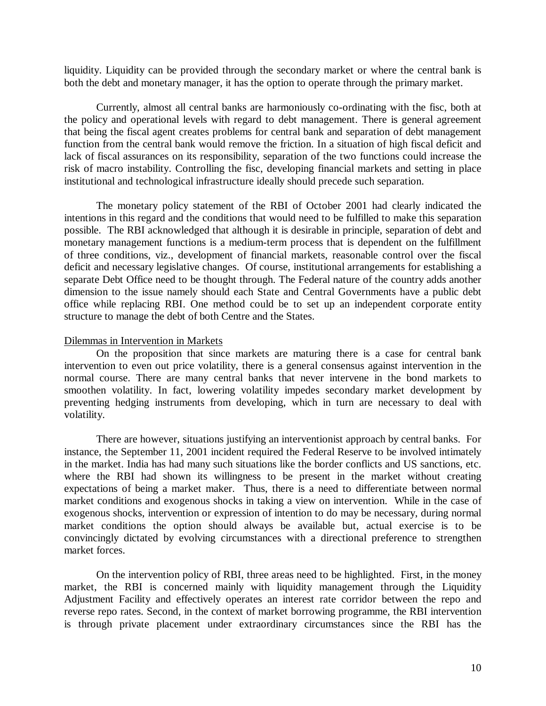liquidity. Liquidity can be provided through the secondary market or where the central bank is both the debt and monetary manager, it has the option to operate through the primary market.

Currently, almost all central banks are harmoniously co-ordinating with the fisc, both at the policy and operational levels with regard to debt management. There is general agreement that being the fiscal agent creates problems for central bank and separation of debt management function from the central bank would remove the friction. In a situation of high fiscal deficit and lack of fiscal assurances on its responsibility, separation of the two functions could increase the risk of macro instability. Controlling the fisc, developing financial markets and setting in place institutional and technological infrastructure ideally should precede such separation.

The monetary policy statement of the RBI of October 2001 had clearly indicated the intentions in this regard and the conditions that would need to be fulfilled to make this separation possible. The RBI acknowledged that although it is desirable in principle, separation of debt and monetary management functions is a medium-term process that is dependent on the fulfillment of three conditions, viz., development of financial markets, reasonable control over the fiscal deficit and necessary legislative changes. Of course, institutional arrangements for establishing a separate Debt Office need to be thought through. The Federal nature of the country adds another dimension to the issue namely should each State and Central Governments have a public debt office while replacing RBI. One method could be to set up an independent corporate entity structure to manage the debt of both Centre and the States.

#### Dilemmas in Intervention in Markets

On the proposition that since markets are maturing there is a case for central bank intervention to even out price volatility, there is a general consensus against intervention in the normal course. There are many central banks that never intervene in the bond markets to smoothen volatility. In fact, lowering volatility impedes secondary market development by preventing hedging instruments from developing, which in turn are necessary to deal with volatility.

There are however, situations justifying an interventionist approach by central banks. For instance, the September 11, 2001 incident required the Federal Reserve to be involved intimately in the market. India has had many such situations like the border conflicts and US sanctions, etc. where the RBI had shown its willingness to be present in the market without creating expectations of being a market maker. Thus, there is a need to differentiate between normal market conditions and exogenous shocks in taking a view on intervention. While in the case of exogenous shocks, intervention or expression of intention to do may be necessary, during normal market conditions the option should always be available but, actual exercise is to be convincingly dictated by evolving circumstances with a directional preference to strengthen market forces.

On the intervention policy of RBI, three areas need to be highlighted. First, in the money market, the RBI is concerned mainly with liquidity management through the Liquidity Adjustment Facility and effectively operates an interest rate corridor between the repo and reverse repo rates. Second, in the context of market borrowing programme, the RBI intervention is through private placement under extraordinary circumstances since the RBI has the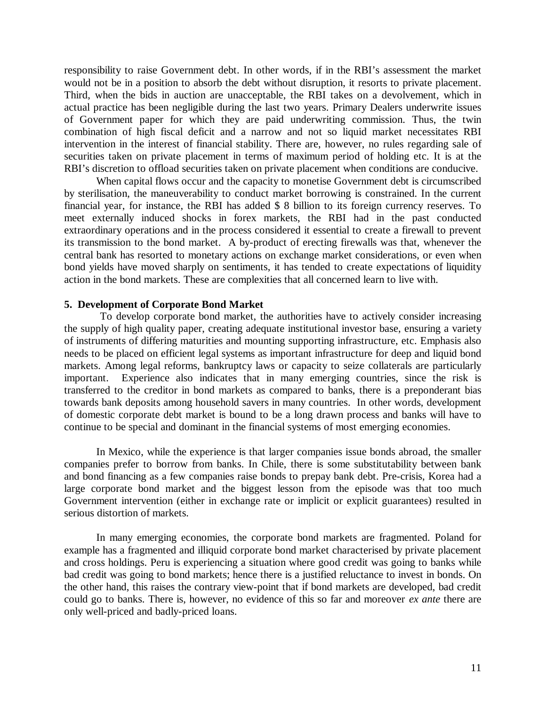responsibility to raise Government debt. In other words, if in the RBI's assessment the market would not be in a position to absorb the debt without disruption, it resorts to private placement. Third, when the bids in auction are unacceptable, the RBI takes on a devolvement, which in actual practice has been negligible during the last two years. Primary Dealers underwrite issues of Government paper for which they are paid underwriting commission. Thus, the twin combination of high fiscal deficit and a narrow and not so liquid market necessitates RBI intervention in the interest of financial stability. There are, however, no rules regarding sale of securities taken on private placement in terms of maximum period of holding etc. It is at the RBI's discretion to offload securities taken on private placement when conditions are conducive.

When capital flows occur and the capacity to monetise Government debt is circumscribed by sterilisation, the maneuverability to conduct market borrowing is constrained. In the current financial year, for instance, the RBI has added \$ 8 billion to its foreign currency reserves. To meet externally induced shocks in forex markets, the RBI had in the past conducted extraordinary operations and in the process considered it essential to create a firewall to prevent its transmission to the bond market. A by-product of erecting firewalls was that, whenever the central bank has resorted to monetary actions on exchange market considerations, or even when bond yields have moved sharply on sentiments, it has tended to create expectations of liquidity action in the bond markets. These are complexities that all concerned learn to live with.

## **5. Development of Corporate Bond Market**

 To develop corporate bond market, the authorities have to actively consider increasing the supply of high quality paper, creating adequate institutional investor base, ensuring a variety of instruments of differing maturities and mounting supporting infrastructure, etc. Emphasis also needs to be placed on efficient legal systems as important infrastructure for deep and liquid bond markets. Among legal reforms, bankruptcy laws or capacity to seize collaterals are particularly important. Experience also indicates that in many emerging countries, since the risk is transferred to the creditor in bond markets as compared to banks, there is a preponderant bias towards bank deposits among household savers in many countries. In other words, development of domestic corporate debt market is bound to be a long drawn process and banks will have to continue to be special and dominant in the financial systems of most emerging economies.

In Mexico, while the experience is that larger companies issue bonds abroad, the smaller companies prefer to borrow from banks. In Chile, there is some substitutability between bank and bond financing as a few companies raise bonds to prepay bank debt. Pre-crisis, Korea had a large corporate bond market and the biggest lesson from the episode was that too much Government intervention (either in exchange rate or implicit or explicit guarantees) resulted in serious distortion of markets.

In many emerging economies, the corporate bond markets are fragmented. Poland for example has a fragmented and illiquid corporate bond market characterised by private placement and cross holdings. Peru is experiencing a situation where good credit was going to banks while bad credit was going to bond markets; hence there is a justified reluctance to invest in bonds. On the other hand, this raises the contrary view-point that if bond markets are developed, bad credit could go to banks. There is, however, no evidence of this so far and moreover *ex ante* there are only well-priced and badly-priced loans.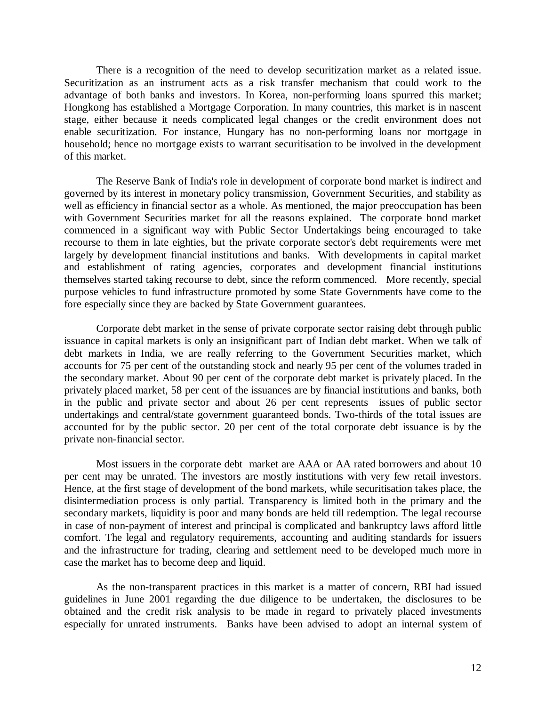There is a recognition of the need to develop securitization market as a related issue. Securitization as an instrument acts as a risk transfer mechanism that could work to the advantage of both banks and investors. In Korea, non-performing loans spurred this market; Hongkong has established a Mortgage Corporation. In many countries, this market is in nascent stage, either because it needs complicated legal changes or the credit environment does not enable securitization. For instance, Hungary has no non-performing loans nor mortgage in household; hence no mortgage exists to warrant securitisation to be involved in the development of this market.

The Reserve Bank of India's role in development of corporate bond market is indirect and governed by its interest in monetary policy transmission, Government Securities, and stability as well as efficiency in financial sector as a whole. As mentioned, the major preoccupation has been with Government Securities market for all the reasons explained. The corporate bond market commenced in a significant way with Public Sector Undertakings being encouraged to take recourse to them in late eighties, but the private corporate sector's debt requirements were met largely by development financial institutions and banks. With developments in capital market and establishment of rating agencies, corporates and development financial institutions themselves started taking recourse to debt, since the reform commenced. More recently, special purpose vehicles to fund infrastructure promoted by some State Governments have come to the fore especially since they are backed by State Government guarantees.

Corporate debt market in the sense of private corporate sector raising debt through public issuance in capital markets is only an insignificant part of Indian debt market. When we talk of debt markets in India, we are really referring to the Government Securities market, which accounts for 75 per cent of the outstanding stock and nearly 95 per cent of the volumes traded in the secondary market. About 90 per cent of the corporate debt market is privately placed. In the privately placed market, 58 per cent of the issuances are by financial institutions and banks, both in the public and private sector and about 26 per cent represents issues of public sector undertakings and central/state government guaranteed bonds. Two-thirds of the total issues are accounted for by the public sector. 20 per cent of the total corporate debt issuance is by the private non-financial sector.

Most issuers in the corporate debt market are AAA or AA rated borrowers and about 10 per cent may be unrated. The investors are mostly institutions with very few retail investors. Hence, at the first stage of development of the bond markets, while securitisation takes place, the disintermediation process is only partial. Transparency is limited both in the primary and the secondary markets, liquidity is poor and many bonds are held till redemption. The legal recourse in case of non-payment of interest and principal is complicated and bankruptcy laws afford little comfort. The legal and regulatory requirements, accounting and auditing standards for issuers and the infrastructure for trading, clearing and settlement need to be developed much more in case the market has to become deep and liquid.

As the non-transparent practices in this market is a matter of concern, RBI had issued guidelines in June 2001 regarding the due diligence to be undertaken, the disclosures to be obtained and the credit risk analysis to be made in regard to privately placed investments especially for unrated instruments. Banks have been advised to adopt an internal system of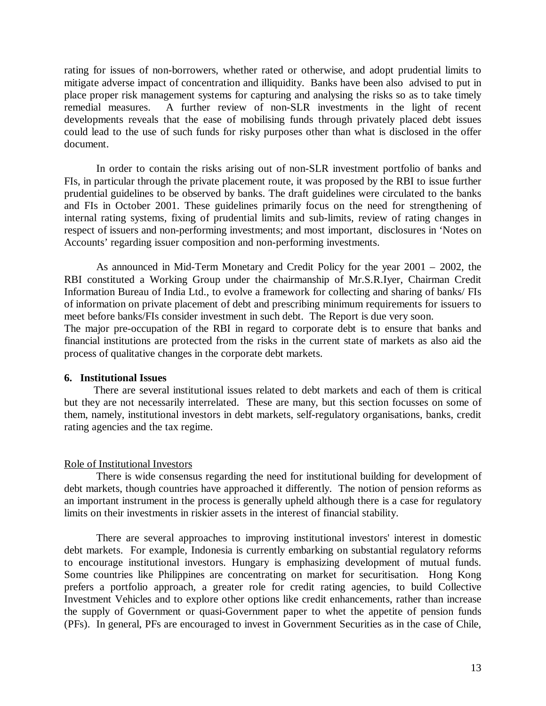rating for issues of non-borrowers, whether rated or otherwise, and adopt prudential limits to mitigate adverse impact of concentration and illiquidity. Banks have been also advised to put in place proper risk management systems for capturing and analysing the risks so as to take timely remedial measures. A further review of non-SLR investments in the light of recent developments reveals that the ease of mobilising funds through privately placed debt issues could lead to the use of such funds for risky purposes other than what is disclosed in the offer document.

In order to contain the risks arising out of non-SLR investment portfolio of banks and FIs, in particular through the private placement route, it was proposed by the RBI to issue further prudential guidelines to be observed by banks. The draft guidelines were circulated to the banks and FIs in October 2001. These guidelines primarily focus on the need for strengthening of internal rating systems, fixing of prudential limits and sub-limits, review of rating changes in respect of issuers and non-performing investments; and most important, disclosures in 'Notes on Accounts' regarding issuer composition and non-performing investments.

As announced in Mid-Term Monetary and Credit Policy for the year 2001 – 2002, the RBI constituted a Working Group under the chairmanship of Mr.S.R.Iyer, Chairman Credit Information Bureau of India Ltd., to evolve a framework for collecting and sharing of banks/ FIs of information on private placement of debt and prescribing minimum requirements for issuers to meet before banks/FIs consider investment in such debt. The Report is due very soon. The major pre-occupation of the RBI in regard to corporate debt is to ensure that banks and financial institutions are protected from the risks in the current state of markets as also aid the

## **6. Institutional Issues**

process of qualitative changes in the corporate debt markets.

 There are several institutional issues related to debt markets and each of them is critical but they are not necessarily interrelated. These are many, but this section focusses on some of them, namely, institutional investors in debt markets, self-regulatory organisations, banks, credit rating agencies and the tax regime.

# Role of Institutional Investors

There is wide consensus regarding the need for institutional building for development of debt markets, though countries have approached it differently. The notion of pension reforms as an important instrument in the process is generally upheld although there is a case for regulatory limits on their investments in riskier assets in the interest of financial stability.

There are several approaches to improving institutional investors' interest in domestic debt markets. For example, Indonesia is currently embarking on substantial regulatory reforms to encourage institutional investors. Hungary is emphasizing development of mutual funds. Some countries like Philippines are concentrating on market for securitisation. Hong Kong prefers a portfolio approach, a greater role for credit rating agencies, to build Collective Investment Vehicles and to explore other options like credit enhancements, rather than increase the supply of Government or quasi-Government paper to whet the appetite of pension funds (PFs). In general, PFs are encouraged to invest in Government Securities as in the case of Chile,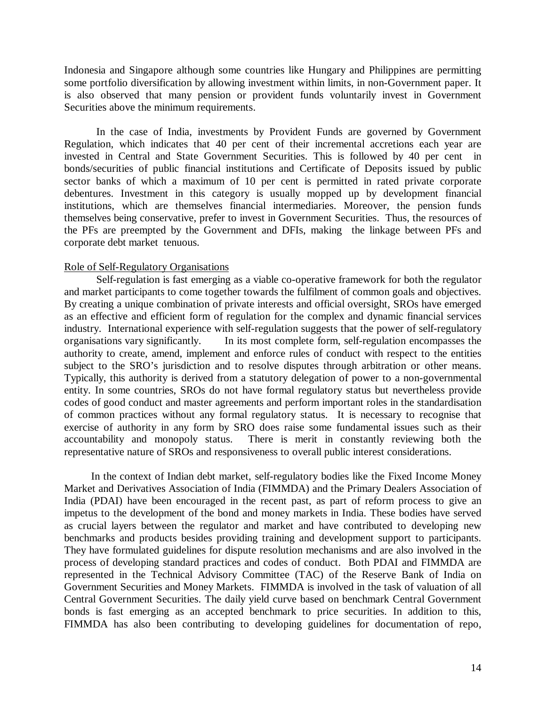Indonesia and Singapore although some countries like Hungary and Philippines are permitting some portfolio diversification by allowing investment within limits, in non-Government paper. It is also observed that many pension or provident funds voluntarily invest in Government Securities above the minimum requirements.

In the case of India, investments by Provident Funds are governed by Government Regulation, which indicates that 40 per cent of their incremental accretions each year are invested in Central and State Government Securities. This is followed by 40 per cent in bonds/securities of public financial institutions and Certificate of Deposits issued by public sector banks of which a maximum of 10 per cent is permitted in rated private corporate debentures. Investment in this category is usually mopped up by development financial institutions, which are themselves financial intermediaries. Moreover, the pension funds themselves being conservative, prefer to invest in Government Securities. Thus, the resources of the PFs are preempted by the Government and DFIs, making the linkage between PFs and corporate debt market tenuous.

### Role of Self-Regulatory Organisations

Self-regulation is fast emerging as a viable co-operative framework for both the regulator and market participants to come together towards the fulfilment of common goals and objectives. By creating a unique combination of private interests and official oversight, SROs have emerged as an effective and efficient form of regulation for the complex and dynamic financial services industry. International experience with self-regulation suggests that the power of self-regulatory organisations vary significantly. In its most complete form, self-regulation encompasses the authority to create, amend, implement and enforce rules of conduct with respect to the entities subject to the SRO's jurisdiction and to resolve disputes through arbitration or other means. Typically, this authority is derived from a statutory delegation of power to a non-governmental entity. In some countries, SROs do not have formal regulatory status but nevertheless provide codes of good conduct and master agreements and perform important roles in the standardisation of common practices without any formal regulatory status. It is necessary to recognise that exercise of authority in any form by SRO does raise some fundamental issues such as their accountability and monopoly status. There is merit in constantly reviewing both the representative nature of SROs and responsiveness to overall public interest considerations.

 In the context of Indian debt market, self-regulatory bodies like the Fixed Income Money Market and Derivatives Association of India (FIMMDA) and the Primary Dealers Association of India (PDAI) have been encouraged in the recent past, as part of reform process to give an impetus to the development of the bond and money markets in India. These bodies have served as crucial layers between the regulator and market and have contributed to developing new benchmarks and products besides providing training and development support to participants. They have formulated guidelines for dispute resolution mechanisms and are also involved in the process of developing standard practices and codes of conduct. Both PDAI and FIMMDA are represented in the Technical Advisory Committee (TAC) of the Reserve Bank of India on Government Securities and Money Markets. FIMMDA is involved in the task of valuation of all Central Government Securities. The daily yield curve based on benchmark Central Government bonds is fast emerging as an accepted benchmark to price securities. In addition to this, FIMMDA has also been contributing to developing guidelines for documentation of repo,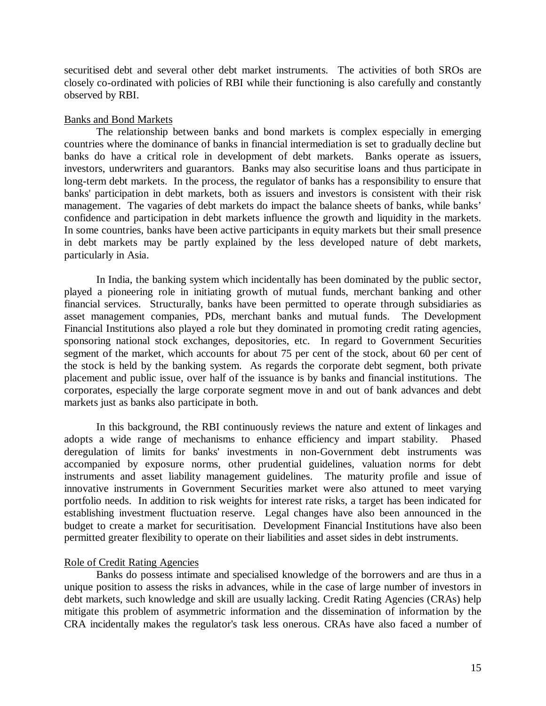securitised debt and several other debt market instruments. The activities of both SROs are closely co-ordinated with policies of RBI while their functioning is also carefully and constantly observed by RBI.

## Banks and Bond Markets

The relationship between banks and bond markets is complex especially in emerging countries where the dominance of banks in financial intermediation is set to gradually decline but banks do have a critical role in development of debt markets. Banks operate as issuers, investors, underwriters and guarantors. Banks may also securitise loans and thus participate in long-term debt markets. In the process, the regulator of banks has a responsibility to ensure that banks' participation in debt markets, both as issuers and investors is consistent with their risk management. The vagaries of debt markets do impact the balance sheets of banks, while banks' confidence and participation in debt markets influence the growth and liquidity in the markets. In some countries, banks have been active participants in equity markets but their small presence in debt markets may be partly explained by the less developed nature of debt markets, particularly in Asia.

In India, the banking system which incidentally has been dominated by the public sector, played a pioneering role in initiating growth of mutual funds, merchant banking and other financial services. Structurally, banks have been permitted to operate through subsidiaries as asset management companies, PDs, merchant banks and mutual funds. The Development Financial Institutions also played a role but they dominated in promoting credit rating agencies, sponsoring national stock exchanges, depositories, etc. In regard to Government Securities segment of the market, which accounts for about 75 per cent of the stock, about 60 per cent of the stock is held by the banking system. As regards the corporate debt segment, both private placement and public issue, over half of the issuance is by banks and financial institutions. The corporates, especially the large corporate segment move in and out of bank advances and debt markets just as banks also participate in both.

In this background, the RBI continuously reviews the nature and extent of linkages and adopts a wide range of mechanisms to enhance efficiency and impart stability. Phased deregulation of limits for banks' investments in non-Government debt instruments was accompanied by exposure norms, other prudential guidelines, valuation norms for debt instruments and asset liability management guidelines. The maturity profile and issue of innovative instruments in Government Securities market were also attuned to meet varying portfolio needs. In addition to risk weights for interest rate risks, a target has been indicated for establishing investment fluctuation reserve. Legal changes have also been announced in the budget to create a market for securitisation. Development Financial Institutions have also been permitted greater flexibility to operate on their liabilities and asset sides in debt instruments.

## Role of Credit Rating Agencies

Banks do possess intimate and specialised knowledge of the borrowers and are thus in a unique position to assess the risks in advances, while in the case of large number of investors in debt markets, such knowledge and skill are usually lacking. Credit Rating Agencies (CRAs) help mitigate this problem of asymmetric information and the dissemination of information by the CRA incidentally makes the regulator's task less onerous. CRAs have also faced a number of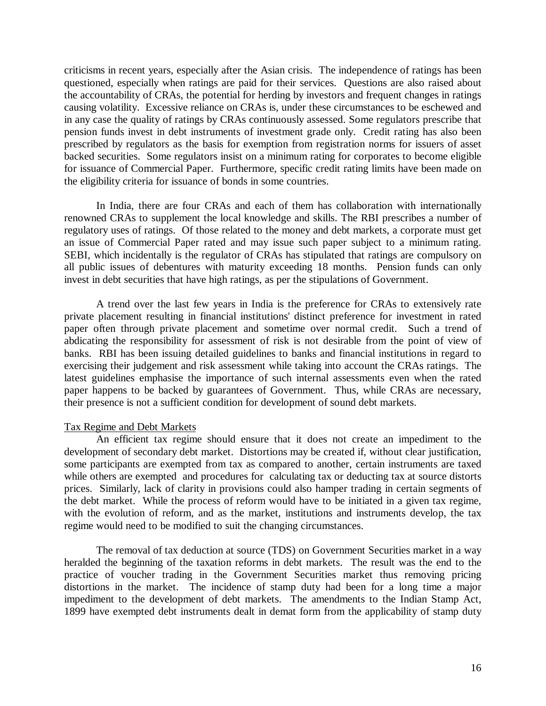criticisms in recent years, especially after the Asian crisis. The independence of ratings has been questioned, especially when ratings are paid for their services. Questions are also raised about the accountability of CRAs, the potential for herding by investors and frequent changes in ratings causing volatility. Excessive reliance on CRAs is, under these circumstances to be eschewed and in any case the quality of ratings by CRAs continuously assessed. Some regulators prescribe that pension funds invest in debt instruments of investment grade only. Credit rating has also been prescribed by regulators as the basis for exemption from registration norms for issuers of asset backed securities. Some regulators insist on a minimum rating for corporates to become eligible for issuance of Commercial Paper. Furthermore, specific credit rating limits have been made on the eligibility criteria for issuance of bonds in some countries.

In India, there are four CRAs and each of them has collaboration with internationally renowned CRAs to supplement the local knowledge and skills. The RBI prescribes a number of regulatory uses of ratings. Of those related to the money and debt markets, a corporate must get an issue of Commercial Paper rated and may issue such paper subject to a minimum rating. SEBI, which incidentally is the regulator of CRAs has stipulated that ratings are compulsory on all public issues of debentures with maturity exceeding 18 months. Pension funds can only invest in debt securities that have high ratings, as per the stipulations of Government.

A trend over the last few years in India is the preference for CRAs to extensively rate private placement resulting in financial institutions' distinct preference for investment in rated paper often through private placement and sometime over normal credit. Such a trend of abdicating the responsibility for assessment of risk is not desirable from the point of view of banks. RBI has been issuing detailed guidelines to banks and financial institutions in regard to exercising their judgement and risk assessment while taking into account the CRAs ratings. The latest guidelines emphasise the importance of such internal assessments even when the rated paper happens to be backed by guarantees of Government. Thus, while CRAs are necessary, their presence is not a sufficient condition for development of sound debt markets.

## Tax Regime and Debt Markets

An efficient tax regime should ensure that it does not create an impediment to the development of secondary debt market. Distortions may be created if, without clear justification, some participants are exempted from tax as compared to another, certain instruments are taxed while others are exempted and procedures for calculating tax or deducting tax at source distorts prices. Similarly, lack of clarity in provisions could also hamper trading in certain segments of the debt market. While the process of reform would have to be initiated in a given tax regime, with the evolution of reform, and as the market, institutions and instruments develop, the tax regime would need to be modified to suit the changing circumstances.

The removal of tax deduction at source (TDS) on Government Securities market in a way heralded the beginning of the taxation reforms in debt markets. The result was the end to the practice of voucher trading in the Government Securities market thus removing pricing distortions in the market. The incidence of stamp duty had been for a long time a major impediment to the development of debt markets. The amendments to the Indian Stamp Act, 1899 have exempted debt instruments dealt in demat form from the applicability of stamp duty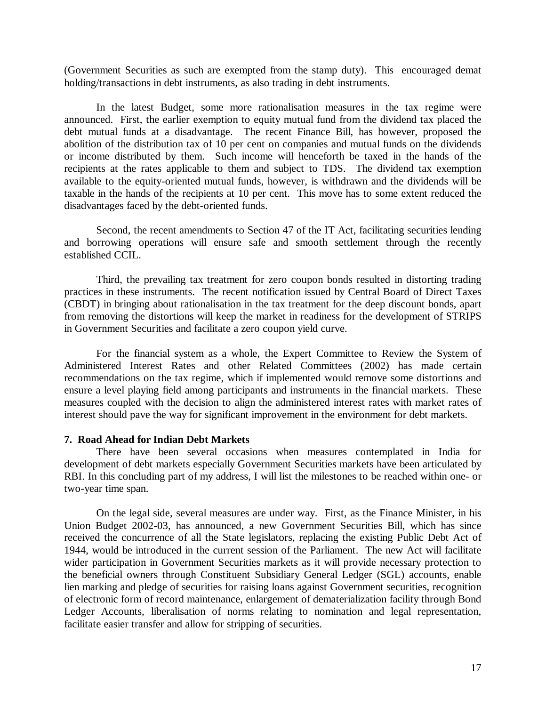(Government Securities as such are exempted from the stamp duty). This encouraged demat holding/transactions in debt instruments, as also trading in debt instruments.

In the latest Budget, some more rationalisation measures in the tax regime were announced. First, the earlier exemption to equity mutual fund from the dividend tax placed the debt mutual funds at a disadvantage. The recent Finance Bill, has however, proposed the abolition of the distribution tax of 10 per cent on companies and mutual funds on the dividends or income distributed by them. Such income will henceforth be taxed in the hands of the recipients at the rates applicable to them and subject to TDS. The dividend tax exemption available to the equity-oriented mutual funds, however, is withdrawn and the dividends will be taxable in the hands of the recipients at 10 per cent. This move has to some extent reduced the disadvantages faced by the debt-oriented funds.

Second, the recent amendments to Section 47 of the IT Act, facilitating securities lending and borrowing operations will ensure safe and smooth settlement through the recently established CCIL.

Third, the prevailing tax treatment for zero coupon bonds resulted in distorting trading practices in these instruments. The recent notification issued by Central Board of Direct Taxes (CBDT) in bringing about rationalisation in the tax treatment for the deep discount bonds, apart from removing the distortions will keep the market in readiness for the development of STRIPS in Government Securities and facilitate a zero coupon yield curve.

For the financial system as a whole, the Expert Committee to Review the System of Administered Interest Rates and other Related Committees (2002) has made certain recommendations on the tax regime, which if implemented would remove some distortions and ensure a level playing field among participants and instruments in the financial markets. These measures coupled with the decision to align the administered interest rates with market rates of interest should pave the way for significant improvement in the environment for debt markets.

#### **7. Road Ahead for Indian Debt Markets**

There have been several occasions when measures contemplated in India for development of debt markets especially Government Securities markets have been articulated by RBI. In this concluding part of my address, I will list the milestones to be reached within one- or two-year time span.

On the legal side, several measures are under way. First, as the Finance Minister, in his Union Budget 2002-03, has announced, a new Government Securities Bill, which has since received the concurrence of all the State legislators, replacing the existing Public Debt Act of 1944, would be introduced in the current session of the Parliament. The new Act will facilitate wider participation in Government Securities markets as it will provide necessary protection to the beneficial owners through Constituent Subsidiary General Ledger (SGL) accounts, enable lien marking and pledge of securities for raising loans against Government securities, recognition of electronic form of record maintenance, enlargement of dematerialization facility through Bond Ledger Accounts, liberalisation of norms relating to nomination and legal representation, facilitate easier transfer and allow for stripping of securities.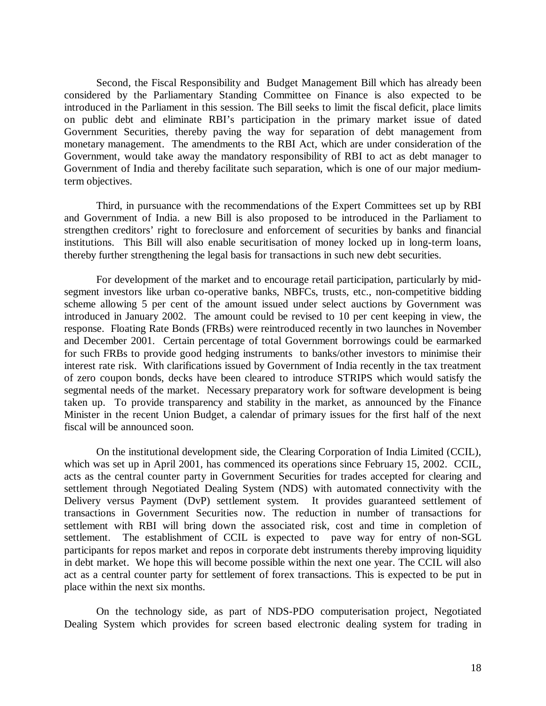Second, the Fiscal Responsibility and Budget Management Bill which has already been considered by the Parliamentary Standing Committee on Finance is also expected to be introduced in the Parliament in this session. The Bill seeks to limit the fiscal deficit, place limits on public debt and eliminate RBI's participation in the primary market issue of dated Government Securities, thereby paving the way for separation of debt management from monetary management. The amendments to the RBI Act, which are under consideration of the Government, would take away the mandatory responsibility of RBI to act as debt manager to Government of India and thereby facilitate such separation, which is one of our major mediumterm objectives.

Third, in pursuance with the recommendations of the Expert Committees set up by RBI and Government of India. a new Bill is also proposed to be introduced in the Parliament to strengthen creditors' right to foreclosure and enforcement of securities by banks and financial institutions. This Bill will also enable securitisation of money locked up in long-term loans, thereby further strengthening the legal basis for transactions in such new debt securities.

For development of the market and to encourage retail participation, particularly by midsegment investors like urban co-operative banks, NBFCs, trusts, etc., non-competitive bidding scheme allowing 5 per cent of the amount issued under select auctions by Government was introduced in January 2002. The amount could be revised to 10 per cent keeping in view, the response. Floating Rate Bonds (FRBs) were reintroduced recently in two launches in November and December 2001. Certain percentage of total Government borrowings could be earmarked for such FRBs to provide good hedging instruments to banks/other investors to minimise their interest rate risk. With clarifications issued by Government of India recently in the tax treatment of zero coupon bonds, decks have been cleared to introduce STRIPS which would satisfy the segmental needs of the market. Necessary preparatory work for software development is being taken up. To provide transparency and stability in the market, as announced by the Finance Minister in the recent Union Budget, a calendar of primary issues for the first half of the next fiscal will be announced soon.

On the institutional development side, the Clearing Corporation of India Limited (CCIL), which was set up in April 2001, has commenced its operations since February 15, 2002. CCIL, acts as the central counter party in Government Securities for trades accepted for clearing and settlement through Negotiated Dealing System (NDS) with automated connectivity with the Delivery versus Payment (DvP) settlement system. It provides guaranteed settlement of transactions in Government Securities now. The reduction in number of transactions for settlement with RBI will bring down the associated risk, cost and time in completion of settlement. The establishment of CCIL is expected to pave way for entry of non-SGL participants for repos market and repos in corporate debt instruments thereby improving liquidity in debt market. We hope this will become possible within the next one year. The CCIL will also act as a central counter party for settlement of forex transactions. This is expected to be put in place within the next six months.

On the technology side, as part of NDS-PDO computerisation project, Negotiated Dealing System which provides for screen based electronic dealing system for trading in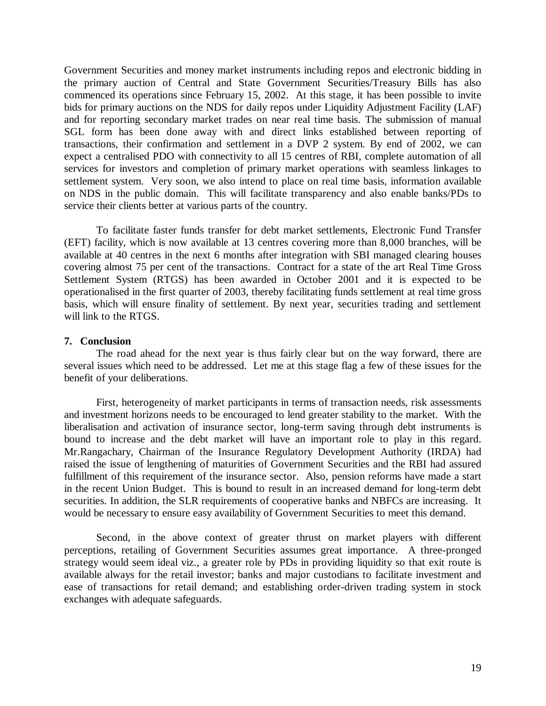Government Securities and money market instruments including repos and electronic bidding in the primary auction of Central and State Government Securities/Treasury Bills has also commenced its operations since February 15, 2002. At this stage, it has been possible to invite bids for primary auctions on the NDS for daily repos under Liquidity Adjustment Facility (LAF) and for reporting secondary market trades on near real time basis. The submission of manual SGL form has been done away with and direct links established between reporting of transactions, their confirmation and settlement in a DVP 2 system. By end of 2002, we can expect a centralised PDO with connectivity to all 15 centres of RBI, complete automation of all services for investors and completion of primary market operations with seamless linkages to settlement system. Very soon, we also intend to place on real time basis, information available on NDS in the public domain. This will facilitate transparency and also enable banks/PDs to service their clients better at various parts of the country.

To facilitate faster funds transfer for debt market settlements, Electronic Fund Transfer (EFT) facility, which is now available at 13 centres covering more than 8,000 branches, will be available at 40 centres in the next 6 months after integration with SBI managed clearing houses covering almost 75 per cent of the transactions. Contract for a state of the art Real Time Gross Settlement System (RTGS) has been awarded in October 2001 and it is expected to be operationalised in the first quarter of 2003, thereby facilitating funds settlement at real time gross basis, which will ensure finality of settlement. By next year, securities trading and settlement will link to the RTGS.

### **7. Conclusion**

The road ahead for the next year is thus fairly clear but on the way forward, there are several issues which need to be addressed. Let me at this stage flag a few of these issues for the benefit of your deliberations.

First, heterogeneity of market participants in terms of transaction needs, risk assessments and investment horizons needs to be encouraged to lend greater stability to the market. With the liberalisation and activation of insurance sector, long-term saving through debt instruments is bound to increase and the debt market will have an important role to play in this regard. Mr.Rangachary, Chairman of the Insurance Regulatory Development Authority (IRDA) had raised the issue of lengthening of maturities of Government Securities and the RBI had assured fulfillment of this requirement of the insurance sector. Also, pension reforms have made a start in the recent Union Budget. This is bound to result in an increased demand for long-term debt securities. In addition, the SLR requirements of cooperative banks and NBFCs are increasing. It would be necessary to ensure easy availability of Government Securities to meet this demand.

Second, in the above context of greater thrust on market players with different perceptions, retailing of Government Securities assumes great importance. A three-pronged strategy would seem ideal viz., a greater role by PDs in providing liquidity so that exit route is available always for the retail investor; banks and major custodians to facilitate investment and ease of transactions for retail demand; and establishing order-driven trading system in stock exchanges with adequate safeguards.